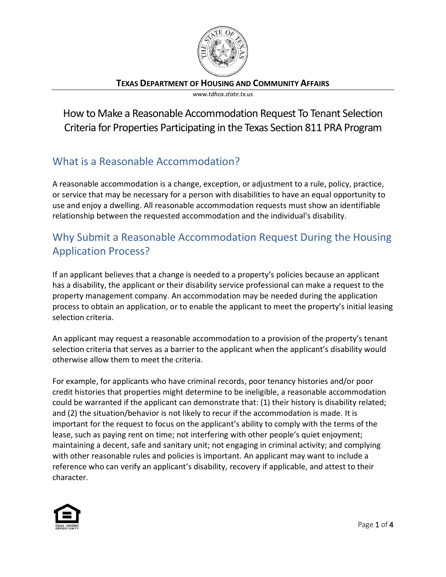

**TEXAS DEPARTMENT OF HOUSING AND COMMUNITY AFFAIRS**

*www.tdhca.state.tx.us*

How to Make a Reasonable Accommodation Request To Tenant Selection Criteria for Properties Participating in the Texas Section 811 PRA Program

## What is a Reasonable Accommodation?

A reasonable accommodation is a change, exception, or adjustment to a rule, policy, practice, or service that may be necessary for a person with disabilities to have an equal opportunity to use and enjoy a dwelling. All reasonable accommodation requests must show an identifiable relationship between the requested accommodation and the individual's disability.

# Why Submit a Reasonable Accommodation Request During the Housing Application Process?

If an applicant believes that a change is needed to a property's policies because an applicant has a disability, the applicant or their disability service professional can make a request to the property management company. An accommodation may be needed during the application process to obtain an application, or to enable the applicant to meet the property's initial leasing selection criteria.

An applicant may request a reasonable accommodation to a provision of the property's tenant selection criteria that serves as a barrier to the applicant when the applicant's disability would otherwise allow them to meet the criteria.

For example, for applicants who have criminal records, poor tenancy histories and/or poor credit histories that properties might determine to be ineligible, a reasonable accommodation could be warranted if the applicant can demonstrate that: (1) their history is disability related; and (2) the situation/behavior is not likely to recur if the accommodation is made. It is important for the request to focus on the applicant's ability to comply with the terms of the lease, such as paying rent on time; not interfering with other people's quiet enjoyment; maintaining a decent, safe and sanitary unit; not engaging in criminal activity; and complying with other reasonable rules and policies is important. An applicant may want to include a reference who can verify an applicant's disability, recovery if applicable, and attest to their character.

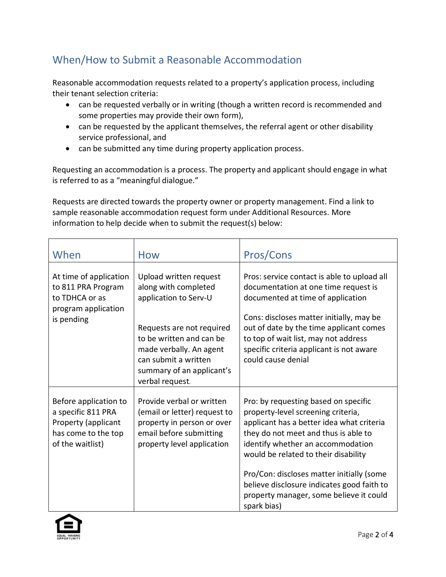## When/How to Submit a Reasonable Accommodation

Reasonable accommodation requests related to a property's application process, including their tenant selection criteria:

- can be requested verbally or in writing (though a written record is recommended and some properties may provide their own form),
- can be requested by the applicant themselves, the referral agent or other disability service professional, and
- can be submitted any time during property application process.

Requesting an accommodation is a process. The property and applicant should engage in what is referred to as a "meaningful dialogue."

Requests are directed towards the property owner or property management. Find a link to sample reasonable accommodation request form under Additional Resources. More information to help decide when to submit the request(s) below:

| When                                                                                                          | How                                                                                                                                                                                                                                 | Pros/Cons                                                                                                                                                                                                                                                                                                                                                                                         |
|---------------------------------------------------------------------------------------------------------------|-------------------------------------------------------------------------------------------------------------------------------------------------------------------------------------------------------------------------------------|---------------------------------------------------------------------------------------------------------------------------------------------------------------------------------------------------------------------------------------------------------------------------------------------------------------------------------------------------------------------------------------------------|
| At time of application<br>to 811 PRA Program<br>to TDHCA or as<br>program application<br>is pending           | Upload written request<br>along with completed<br>application to Serv-U<br>Requests are not required<br>to be written and can be<br>made verbally. An agent<br>can submit a written<br>summary of an applicant's<br>verbal request. | Pros: service contact is able to upload all<br>documentation at one time request is<br>documented at time of application<br>Cons: discloses matter initially, may be<br>out of date by the time applicant comes<br>to top of wait list, may not address<br>specific criteria applicant is not aware<br>could cause denial                                                                         |
| Before application to<br>a specific 811 PRA<br>Property (applicant<br>has come to the top<br>of the waitlist) | Provide verbal or written<br>(email or letter) request to<br>property in person or over<br>email before submitting<br>property level application                                                                                    | Pro: by requesting based on specific<br>property-level screening criteria,<br>applicant has a better idea what criteria<br>they do not meet and thus is able to<br>identify whether an accommodation<br>would be related to their disability<br>Pro/Con: discloses matter initially (some<br>believe disclosure indicates good faith to<br>property manager, some believe it could<br>spark bias) |

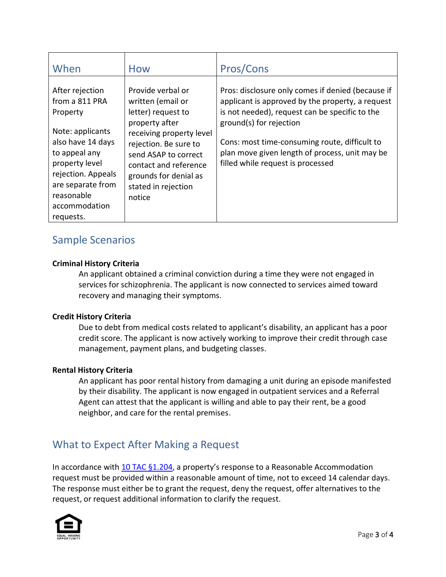| When                                                                                                                                                                                                             | <b>How</b>                                                                                                                                                                                                                                     | Pros/Cons                                                                                                                                                                                                                                                                                                                  |
|------------------------------------------------------------------------------------------------------------------------------------------------------------------------------------------------------------------|------------------------------------------------------------------------------------------------------------------------------------------------------------------------------------------------------------------------------------------------|----------------------------------------------------------------------------------------------------------------------------------------------------------------------------------------------------------------------------------------------------------------------------------------------------------------------------|
| After rejection<br>from a 811 PRA<br>Property<br>Note: applicants<br>also have 14 days<br>to appeal any<br>property level<br>rejection. Appeals<br>are separate from<br>reasonable<br>accommodation<br>requests. | Provide verbal or<br>written (email or<br>letter) request to<br>property after<br>receiving property level<br>rejection. Be sure to<br>send ASAP to correct<br>contact and reference<br>grounds for denial as<br>stated in rejection<br>notice | Pros: disclosure only comes if denied (because if<br>applicant is approved by the property, a request<br>is not needed), request can be specific to the<br>ground(s) for rejection<br>Cons: most time-consuming route, difficult to<br>plan move given length of process, unit may be<br>filled while request is processed |

## Sample Scenarios

#### **Criminal History Criteria**

An applicant obtained a criminal conviction during a time they were not engaged in services for schizophrenia. The applicant is now connected to services aimed toward recovery and managing their symptoms.

#### **Credit History Criteria**

Due to debt from medical costs related to applicant's disability, an applicant has a poor credit score. The applicant is now actively working to improve their credit through case management, payment plans, and budgeting classes.

#### **Rental History Criteria**

An applicant has poor rental history from damaging a unit during an episode manifested by their disability. The applicant is now engaged in outpatient services and a Referral Agent can attest that the applicant is willing and able to pay their rent, be a good neighbor, and care for the rental premises.

### What to Expect After Making a Request

In accordance with [10 TAC §1.204,](https://texreg.sos.state.tx.us/public/readtac$ext.TacPage?sl=R&app=9&p_dir=&p_rloc=&p_tloc=&p_ploc=&pg=1&p_tac=&ti=10&pt=1&ch=1&rl=204) a property's response to a Reasonable Accommodation request must be provided within a reasonable amount of time, not to exceed 14 calendar days. The response must either be to grant the request, deny the request, offer alternatives to the request, or request additional information to clarify the request.